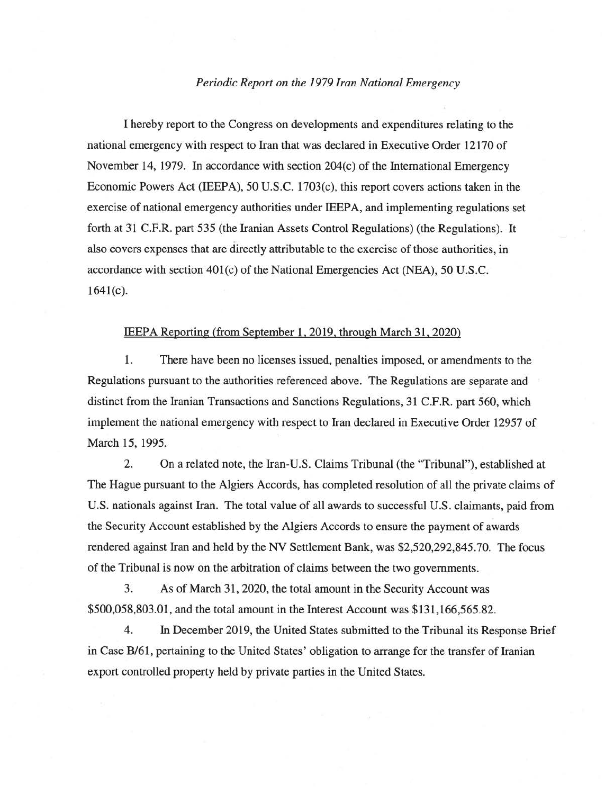## *Periodic Report on the 1979 Iran National Emergency*

I hereby report to the Congress on developments and expenditures relating to the national emergency with respect to Iran that was declared in Executive Order 12170 of November 14, 1979. In accordance with section  $204(c)$  of the International Emergency Economic Powers Act (IEEPA), 50 U.S.C. 1703(c), this report covers actions taken in the exercise of national emergency authorities under IEEPA, and implementing regulations set forth at 31 C.F.R. part 535 (the Iranian Assets Control Regulations) (the Regulations). It also covers expenses that are directly attributable to the exercise of those authorities, in accordance with section 401(c) of the National Emergencies Act (NEA), 50 U.S.C.  $1641(c)$ .

## IEEPA Reporting (from September 1, 2019, through March 31, 2020)

1. There have been no licenses issued, penalties imposed, or amendments to the Regulations pursuant to the authorities referenced above. The Regulations are separate and distinct from the Iranian Transactions and Sanctions Regulations, 31 C.P.R. part 560, which implement the national emergency with respect to Iran declared in Executive Order 12957 of March 15, 1995.

2. On a related note, the Iran-U.S. Claims Tribunal (the ''Tribunal"), established at The Hague pursuant to the Algiers Accords, has completed resolution of all the private claims of U.S. nationals against Iran. The total value of all awards to successful U.S. claimants, paid from the Security Account established by the Algiers Accords to ensure the payment of awards rendered against Iran and held by the NV Settlement Bank, was \$2,520,292,845.70. The focus of the Tribunal is now on the arbitration of claims between the two governments.

3. As of March 31,2020, the total amount in the Security Account was \$500,058,803.01, and the total amount in the Interest Account was \$131,166,565.82.

4. In December 2019, the United States submitted to the Tribunal its Response Brief in Case B/61, pertaining to the United States' obligation to arrange for the transfer of Iranian export controlled property held by private parties in the United States.